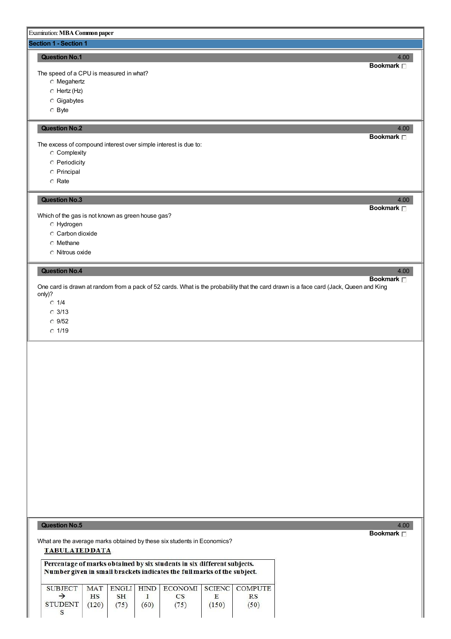# Examination:**MBACommon paper**

# **Section 1 - Section 1**

# **Question No.1** 4.00

The speed of a CPU is measured in what?

- Megahertz
- Hertz (Hz)
- Gigabytes
- Byte

# **Question No.2** 4.00

The excess of compound interest over simple interest is due to:

- Complexity
- Periodicity
- Principal
- Rate

# **Question No.3** 4.00

Which of the gas is not known as green house gas?

- Hydrogen
- Carbon dioxide
- Methane
- Nitrous oxide

# **Question No.4** 4.00

One card is drawn at random from a pack of 52 cards. What is the probability that the card drawn is a face card (Jack, Queen and King only)?

- $\degree$  1/4
- 3/13
- 9/52
- $0.1/19$

**Question No.5** 4.00

What are the average marks obtained by these six students in Economics?**TABULATEDDATA** 

Percentage of marks obtained by six students in six different subjects. Number given in small brackets indicates the full marks of the subject.

|                        |           |           |      | SUBJECT   MAT   ENGLI   HIND   ECONOMI   SCIENC   COMPUTE |       |      |
|------------------------|-----------|-----------|------|-----------------------------------------------------------|-------|------|
|                        | <b>HS</b> | <b>SH</b> |      |                                                           |       |      |
| STUDENT $(120)$ $(75)$ |           |           | (60) | (75)                                                      | (150) | (50) |
|                        |           |           |      |                                                           |       |      |

# **Bookmark**

**Bookmark**

**Bookmark**

**Bookmark**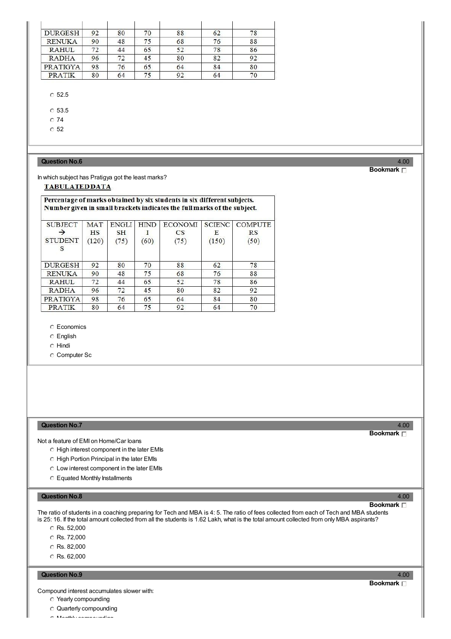| <b>DURGESH</b> | 92 | 80 | 70 | 88 | 62 | 78 |
|----------------|----|----|----|----|----|----|
| <b>RENUKA</b>  | 90 | 48 | 75 | 68 | 76 | 88 |
| <b>RAHUL</b>   | 72 | 44 | 65 | 52 | 78 | 86 |
| <b>RADHA</b>   | 96 | 72 | 45 | 80 | 82 | 92 |
| PRATIGYA       | 98 | 76 | 65 | 64 | 84 | 80 |
| <b>PRATIK</b>  | 80 | 64 | 75 | 92 | 64 | 70 |

# $\degree$  52.5

C 53.5

 $\degree$  74

 $\degree$  52

# **Question No.6** 4.00

# **Bookmark**

In which subject has Pratigya got the least marks?

# **TABULATEDDATA**

# Percentage of marks obtained by six students in six different subjects. Number given in small brackets indicates the full marks of the subject.

| <b>SUBJECT</b>      | <b>MAT</b> | <b>ENGLI</b> | <b>HIND</b> | <b>ECONOMI</b> | <b>SCIENC</b> | <b>COMPUTE</b> |
|---------------------|------------|--------------|-------------|----------------|---------------|----------------|
|                     | <b>HS</b>  | <b>SH</b>    |             | <b>CS</b>      | Е             | RS             |
| <b>STUDENT</b><br>s | (120)      | (75)         | (60)        | (75)           | (150)         | (50)           |
| <b>DURGESH</b>      | 92         | 80           | 70          | 88             | 62            | 78             |
| <b>RENUKA</b>       | 90         | 48           | 75          | 68             | 76            | 88             |
| <b>RAHUL</b>        | 72         | 44           | 65          | 52             | 78            | 86             |
| <b>RADHA</b>        | 96         | 72           | 45          | 80             | 82            | 92             |
| <b>PRATIGYA</b>     | 98         | 76           | 65          | 64             | 84            | 80             |
| <b>PRATIK</b>       | 80         | 64           | 75          | 92             | 64            | 70             |

# Economics

English

Hindi

Computer Sc

# **Question No.7** 4.00

Not a feature of EMI on Home/Car loans

- High interest component in the later EMIs
- $\circ$  High Portion Principal in the later EMIs
- Low interest component in the later EMIs
- Equated Monthly Installments

# **Question No.8** 4.00

# **Bookmark**

**Bookmark**

The ratio of students in a coaching preparing for Tech and MBA is 4: 5. The ratio of fees collected from each of Tech and MBA students is 25: 16. If the total amount collected from all the students is 1.62 Lakh, what is the total amount collected from only MBA aspirants?

- C Rs. 52,000
- C Rs. 72,000
- C Rs. 82,000
- $\circ$  Rs. 62,000

### **Question No.9** 4.00

Compound interest accumulates slower with:

- Yearly compounding
- Quarterly compounding
- Monthly compounding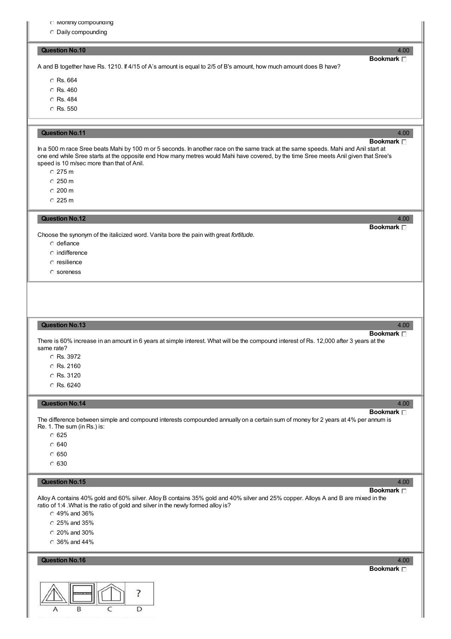- $\cup$  Monthly compounding
- Daily compounding

#### **Question No.10** 4.00

A and B together have Rs. 1210. If 4/15 of A's amount is equal to 2/5 of B's amount, how much amount does B have?

- C Rs. 664
- C Rs. 460
- C Rs. 484
- C Rs. 550

### **Question No.11** 4.00

# **Bookmark**

**Bookmark**

In a 500 m race Sree beats Mahi by 100 m or 5 seconds. In another race on the same track at the same speeds. Mahi and Anil start at one end while Sree starts at the opposite end How many metres would Mahi have covered, by the time Sree meets Anil given that Sree's speed is 10 m/sec more than that of Anil.

- 275 m
- $C$  250 m
- $\degree$  200 m
- 225 m

#### **Question No.12** 4.00

Choose the synonym of the italicized word. Vanita bore the pain with great *fortitude.*

- defiance
- $\circ$  indifference
- $\circ$  resilience
- soreness

#### **Question No.13** 4.00

# **Bookmark**

There is 60% increase in an amount in 6 years at simple interest. What will be the compound interest of Rs. 12,000 after 3 years at the same rate?

Rs. 3972

- C Rs. 2160
- Rs. 3120
- C Rs. 6240

# **Question No.14** 4.00

# **Bookmark**

The difference between simple and compound interests compounded annually on a certain sum of money for 2 years at 4% per annum is Re. 1. The sum (in Rs.) is:

- $\degree$  625
- $C_640$
- $\circ$  650
- $C$  630

#### **Question No.15** 4.00

# **Bookmark**

Alloy A contains 40% gold and 60% silver. Alloy B contains 35% gold and 40% silver and 25% copper. Alloys A and B are mixed in the ratio of 1:4 .What is the ratio of gold and silver in the newly formed alloy is?

- 49% and 36%
- 25% and 35%
- 20% and 30%
- 36% and 44%
- **Question No.16** 4.00



**Bookmark**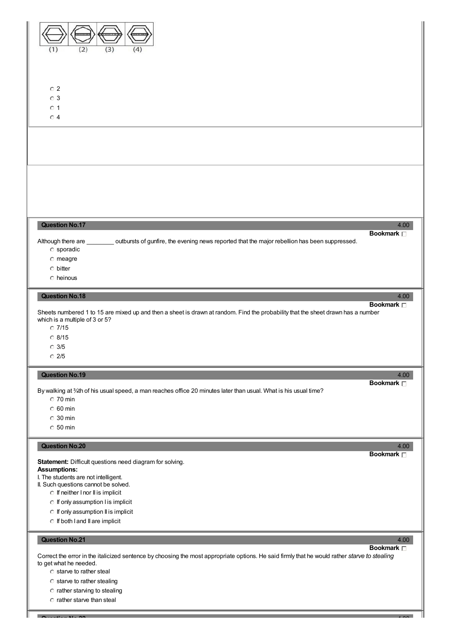

**Question No.22** 4.00

 $\circ$  starve to rather steal

- 
- C starve to rather stealing
- $\circ$  rather starving to stealing
- $\circ$  rather starve than steal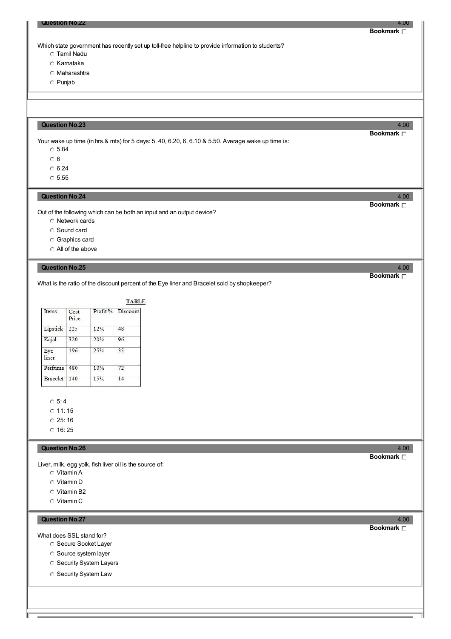Which state government has recently set up toll-free helpline to provide information to students?

- Tamil Nadu
- C Karnataka
- Maharashtra
- Punjab

# **Question No.23** 4.00

Your wake up time (in hrs.& mts) for 5 days: 5. 40, 6.20, 6, 6.10 & 5.50. Average wake up time is:

- $\degree$  5.84
- $\overline{0}6$
- $C$  6.24
- $\circ$  5.55

# **Question No.24** 4.00

Out of the following which can be both an input and an output device?

- Network cards
- Sound card
- Graphics card
- All of the above

# **Question No.25** 4.00

What is the ratio of the discount percent of the Eye liner and Bracelet sold by shopkeeper?

**TABLE** 

| Items        | Cost<br>Price | Profit% | Discount |
|--------------|---------------|---------|----------|
| Lipstick     | 225           | 12%     | 48       |
| Kajal        | 320           | 20%     | 96       |
| Eye<br>liner | 196           | 25%     | 35       |
| Perfume      | 480           | 10%     | 72       |
| Bracelet     | 140           | 15%     | 14       |

 $0.5:4$ 

 $0$  11: 15

 $C$  25: 16

 $C$  16: 25

# **Question No.26** 4.00

Liver, milk, egg yolk, fish liver oil is the source of:

- Vitamin A
- Vitamin D
- Vitamin B2
- Vitamin C

# **Question No.27** 4.00

What does SSL stand for?

- **Secure Socket Layer**
- Source system layer
- **C** Security System Layers
- **C** Security System Law

**Bookmark**

# **Bookmark**

**Bookmark**

**Bookmark**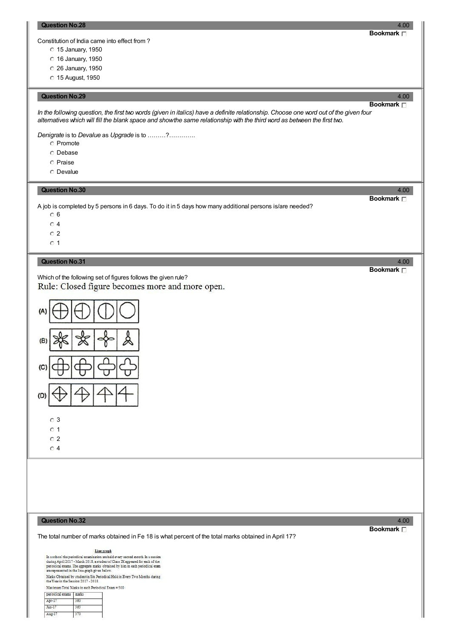Constitution of India came into effect from ?

- 15 January, 1950
- 16 January, 1950
- 26 January, 1950
- 15 August, 1950

# **Question No.29** 4.00

In the following question, the first two words (given in italics) have a definite relationship. Choose one word out of the given four alternatives which will fill the blank space and show the same relationship with the third word as between the first two.

*Denigrate* is to *Devalue* as *Upgrade* is to ………?………….

- C Promote
- Debase
- C Praise
- Devalue

# **Question No.30** 4.00

A job is completed by 5 persons in 6 days. To do it in 5 days how many additional persons is/are needed?

- 6
- $\circ$  4

 $0.2$ 

 $\circ$  1

# **Question No.31** 4.00

Which of the following set of figures follows the given rule? Rule: Closed figure becomes more and more open.



# **Question No.32** 4.00

The total number of marks obtained in Fe 18 is what percent of the total marks obtained in April 17?

# **Bookmark**

Line graph

In a school the periodical examination are held every second month In a session<br>during April 2017 - March 2018, a student of Class IX appeared for each of the<br>periodical exams. The aggregate marks obtained by him in each p

Marks Obtained by student in Six Periodical Held in Every Two Months during the Year in the Session 2017 - 2018.

Maximum Total Marks in each Periodical Exam = 500

| periodical exams marks |  |  |  |  |  |
|------------------------|--|--|--|--|--|
|                        |  |  |  |  |  |
|                        |  |  |  |  |  |
|                        |  |  |  |  |  |

# **Bookmark**

**Bookmark**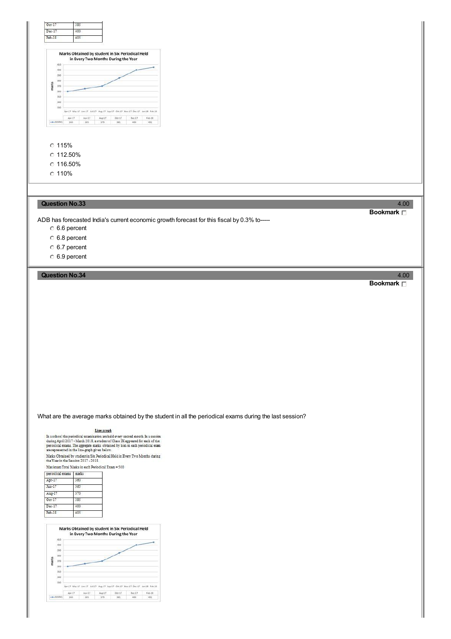

 $C$  116.50%

- 
- $C$  110%

# **Question No.33** 4.00

ADB has forecasted India's current economic growth forecast for this fiscal by 0.3% to-----

- 6.6 percent
- 6.8 percent
- 6.7 percent
- 6.9 percent

# **Question No.34** 4.00

What are the average marks obtained by the student in all the periodical exams during the last session?

#### Line graph

In a school the periodical examination are held every second month In a session during April 2017 - March 2018, a student of Class IX appeared for each of the periodical exams. The aggregate masks obtained by him in each

Marks Obtained by student<br>in Six Periodical Held in Every Two Months during the Year in the Session 2017 - 2018.

Maximum Total Marks in each Periodical Exam = 500

| periodical exams | marks |  |
|------------------|-------|--|
| Apr-17           | 360   |  |
| $Jun-17$         | 365   |  |
| Aug-17           | 370   |  |
| $Oct-17$         | 385   |  |
| $Dec-17$         | 400   |  |
| $Feb-18$         | 405   |  |



# **Bookmark**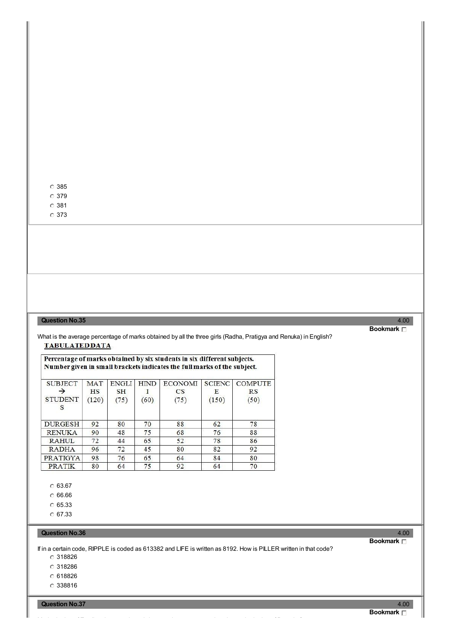379

381

373

# **Question No.35** 4.00

What is the average percentage of marks obtained by all the three girls (Radha, Pratigya and Renuka) in English? **TABULATEDDATA** 

# Percentage of marks obtained by six students in six different subjects. Number given in small brackets indicates the full marks of the subject.

| <b>SUBJECT</b>  | <b>MAT</b> | <b>ENGLI</b> | <b>HIND</b> | <b>ECONOMI</b> |       | <b>SCIENC</b> COMPUTE |
|-----------------|------------|--------------|-------------|----------------|-------|-----------------------|
|                 | HS         | <b>SH</b>    |             | CS             | Ε     | RS                    |
| <b>STUDENT</b>  | (120)      | (75)         | (60)        | (75)           | (150) | (50)                  |
| S               |            |              |             |                |       |                       |
|                 |            |              |             |                |       |                       |
| <b>DURGESH</b>  | 92         | 80           | 70          | 88             | 62    | 78                    |
| <b>RENUKA</b>   | 90         | 48           | 75          | 68             | 76    | 88                    |
| <b>RAHUL</b>    | 72         | 44           | 65          | 52             | 78    | 86                    |
| <b>RADHA</b>    | 96         | 72           | 45          | 80             | 82    | 92                    |
| <b>PRATIGYA</b> | 98         | 76           | 65          | 64             | 84    | 80                    |
| <b>PRATIK</b>   | 80         | 64           | 75          | 92             | 64    | 70                    |

 $C$  63.67

C 66.66

C 65.33

 $C$  67.33

### **Question No.36** 4.00

If in a certain code, RIPPLE is coded as 613382 and LIFE is written as 8192. How is PILLER written in that code?

318826

318286

618826

338816

**Question No.37** 4.00

**Bookmark**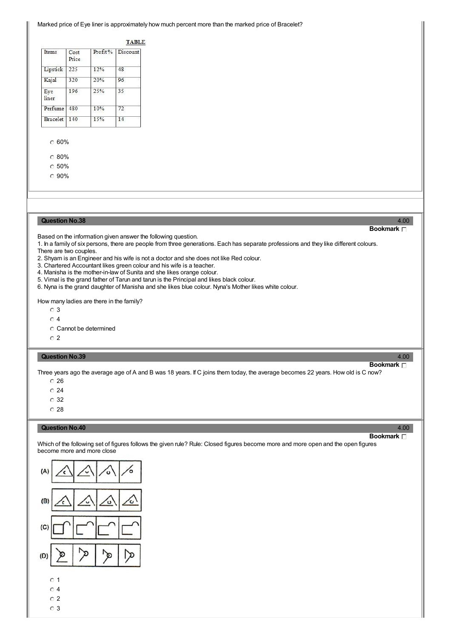#### Marked price of Eye liner is approximately how much percent more than the marked price of Bracelet?

#### **TABLE**

| Items        | Cost<br>Price | Profit% | Discount |
|--------------|---------------|---------|----------|
| Lipstick     | 225           | 12%     | 48       |
| Kajal        | 320           | 20%     | 96       |
| Eye<br>liner | 196           | 25%     | 35       |
| Perfume      | 480           | 10%     | 72       |
| Bracelet     | 140           | 15%     | 14       |

# 60%

80%

 $\degree$  50%

90%

#### **Question No.38** 4.00

Based on the information given answer the following question.

1. In a family of six persons, there are people from three generations. Each has separate professions and they like different colours. There are two couples.

- 2. Shyam is an Engineer and his wife is not a doctor and she does not like Red colour.
- 3. Chartered Accountant likes green colour and his wife is a teacher.
- 4. Manisha is the mother-in-law of Sunita and she likes orange colour.
- 5. Vimal is the grand father of Tarun and tarun is the Principal and likes black colour.
- 6. Nyna is the grand daughter of Manisha and she likes blue colour. Nyna's Mother likes white colour.

How many ladies are there in the family?

- $\circ$  3
- $\overline{O}$  4

Cannot be determined

 $\overline{C}$  2

# **Question No.39** 4.00

# **Bookmark**

**Bookmark**

Three years ago the average age of A and B was 18 years. If C joins them today, the average becomes 22 years. How old is C now?

 $\degree$  26

 $\degree$  24

- 32
- $\degree$  28

#### **Question No.40** 4.00

# **Bookmark**

Which of the following set of figures follows the given rule? Rule: Closed figures become more and more open and the open figures become more and more close



 $\circ$  4

- $\overline{O}$  2
- 3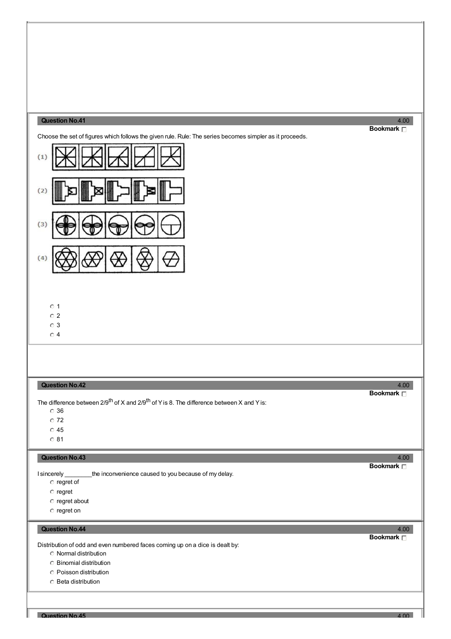# **Question No.41** 4.00

Choose the set of figures which follows the given rule. Rule: The series becomes simpler as it proceeds.



# $\circ$  1

 $\overline{C}$  2

 $\overline{O}$  3

 $\circ$  4

# **Question No.42** 4.00

The difference between 2/9<sup>th</sup> of X and 2/9<sup>th</sup> of Y is 8. The difference between X and Y is:

36

 $\overline{C}$  72

 $\circ$  45

 $\overline{0}81$ 

# **Question No.43** 4.00

I sincerely \_\_\_\_\_\_\_\_the inconvenience caused to you because of my delay.

- $\circ$  regret of
- $C$  regret
- regret about
- $\degree$  regret on

# **Question No.44** 4.00

Distribution of odd and even numbered faces coming up on a dice is dealt by:

Normal distribution

- Binomial distribution
- Poisson distribution
- Beta distribution

**Bookmark**

**Bookmark**

**Bookmark**

# **Question No.45** 4.00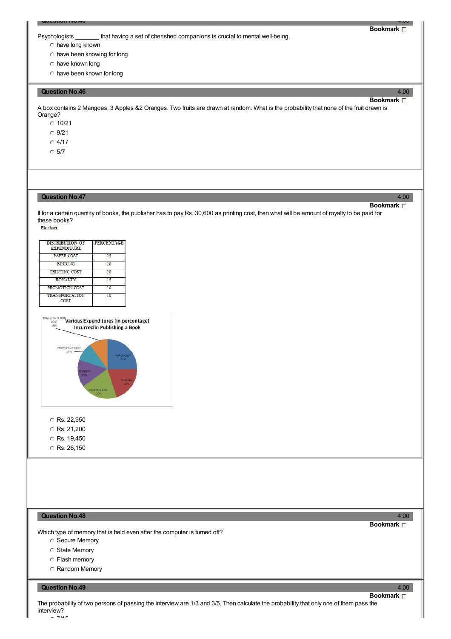Psychologists that having a set of cherished companions is crucial to mental well-being.

**Bookmark**

**Bookmark**

- have long known
- have been knowing for long
- have known long
- have been known for long

#### **Question No.46** 4.00

A box contains 2 Mangoes, 3 Apples &2 Oranges. Two fruits are drawn at random. What is the probability that none of the fruit drawn is Orange?

**Question No.45** 4.00

 $0.10/21$ 

 $O$  9/21

 $O$  4/17

 $\degree$  5/7

# **Question No.47** 4.00

**Bookmark**

If for a certain quantity of books, the publisher has to pay Rs. 30,600 as printing cost, then what will be amount of royalty to be paid for these books?<br>Piechart

| <b>DISTRIBUTION OF</b><br><b>EXPENDITURE</b> | <b>PERCENTAGE</b> |
|----------------------------------------------|-------------------|
| PAPER COST                                   | 25                |
| <b>BINDING</b>                               | 20                |
| PRINTING COST                                | 20                |
| <b>ROYALTY</b>                               | 15                |
| PROMOTION COST                               | 10                |
| <b>TRANSPORTATION</b><br>COST                | 10                |



- C Rs. 22,950
- C Rs. 21,200
- C Rs. 19,450
- $\circ$  Rs. 26,150

# **Question No.48** 4.00

Which type of memory that is held even after the computer is turned off?

- Secure Memory
- State Memory
- Flash memory
- Random Memory

### **Question No.49** 4.00

**Bookmark**

**Bookmark**

The probability of two persons of passing the interview are 1/3 and 3/5. Then calculate the probability that only one of them pass the interview? 7/15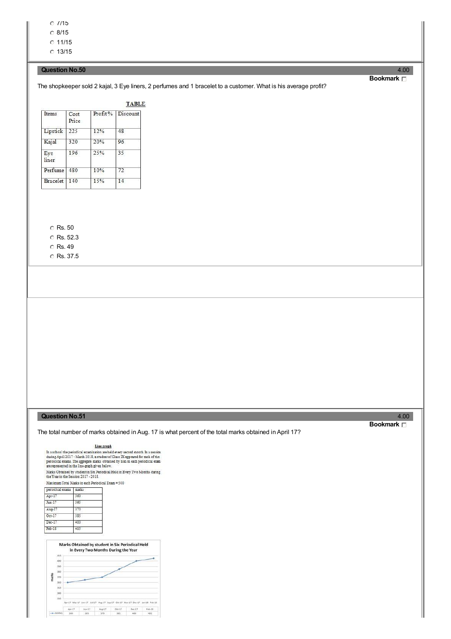$O$   $1/15$ 

 $\degree$  8/15

 $O$  11/15  $C$  13/15

# **Question No.50** 4.00

# The shopkeeper sold 2 kajal, 3 Eye liners, 2 perfumes and 1 bracelet to a customer. What is his average profit?

| Items        | Cost<br>Price | Profit% | Discount |
|--------------|---------------|---------|----------|
| Lipstick     | 225           | 12%     | 48       |
| Kajal        | 320           | 20%     | 96       |
| Eye<br>liner | 196           | 25%     | 35       |
| Perfume      | 480           | 10%     | 72       |
| Bracelet     | 140           | 15%     | 14       |

# C Rs. 50

C Rs. 52.3

# C Rs. 49

C Rs. 37.5

# **Question No.51** 4.00

periodical exams | marks  $Apr-17$ 

 $Jun-17$ 

Aug-17

 $Oct-1$ 

 $Dec-17$ 

 $Feb-18$ 

The total number of marks obtained in Aug. 17 is what percent of the total marks obtained in April 17?

**Bookmark**

Marks Obtained by student in Six Periodical Held<br>in Every Two Months During the Year  $-418$ 400 350 180 marks  $\frac{170}{20}$ 360 13 340 330 Apr-17 May-17 Jun-17 Jul-17 Aug-17 Sep-17 Oct-17 Nov-17 Dec-17 Jan-18 Feb-18

Line graph In a school the periodical examination are held every second month In a seasion<br>during April 2017 - Maxch 2018, a student of Class IX appeared for each of the<br>periodical exams. The aggregate marks obtained by him in each p Marks Obtained by student in Six Periodical Held in Every Two Months during the Year in the Session 2017 - 2018.

Maximum Total Marks in each Periodical Exam = 500

 $rac{1}{360}$ 

365

370

385

400

405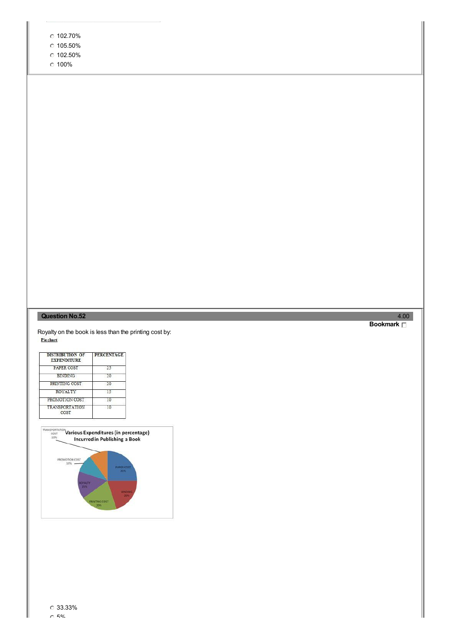|  | 102.70% |
|--|---------|
|--|---------|

- $\degree$  105.50%
- 102.50%
- $0.100%$

# **Question No.52** 4.00

Royalty on the book is less than the printing cost by:<br>Piechart

| <b>DISTRIBUTION OF</b><br><b>EXPENDITURE</b> | <b>PERCENTAGE</b> |  |  |
|----------------------------------------------|-------------------|--|--|
| PAPER COST                                   | 25                |  |  |
| <b>BINDING</b>                               | 20                |  |  |
| PRINTING COST                                | 20                |  |  |
| ROYALTY                                      | 15                |  |  |
| PROMOTION COST                               | 10                |  |  |
| <b>TRANSPORTATION</b><br>COST                | 10                |  |  |

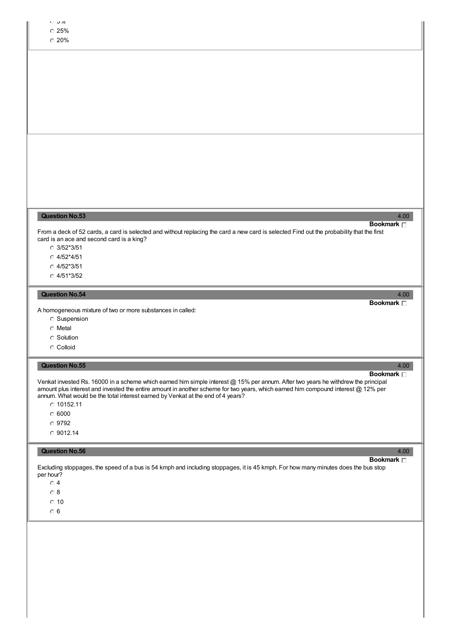| $\cup$ J/0<br>$\degree$ 25%<br>$\degree$ 20%                                                                                                                                                                                                                                                                                                                                                                                 |      |
|------------------------------------------------------------------------------------------------------------------------------------------------------------------------------------------------------------------------------------------------------------------------------------------------------------------------------------------------------------------------------------------------------------------------------|------|
|                                                                                                                                                                                                                                                                                                                                                                                                                              |      |
|                                                                                                                                                                                                                                                                                                                                                                                                                              |      |
|                                                                                                                                                                                                                                                                                                                                                                                                                              |      |
|                                                                                                                                                                                                                                                                                                                                                                                                                              |      |
|                                                                                                                                                                                                                                                                                                                                                                                                                              |      |
| <b>Question No.53</b><br>Bookmark <sub>D</sub><br>From a deck of 52 cards, a card is selected and without replacing the card a new card is selected Find out the probability that the first<br>card is an ace and second card is a king?<br>$O$ 3/52*3/51<br>$O$ 4/52*4/51<br>$O$ 4/52*3/51<br>$O$ 4/51*3/52                                                                                                                 | 4.00 |
| <b>Question No.54</b><br>Bookmark <sub>[]</sub>                                                                                                                                                                                                                                                                                                                                                                              | 4.00 |
| A homogeneous mixture of two or more substances in called:<br><b>C</b> Suspension<br><b>C</b> Metal<br><b>C</b> Solution<br>C Colloid                                                                                                                                                                                                                                                                                        |      |
| <b>Question No.55</b><br>Bookmark <sub>D</sub>                                                                                                                                                                                                                                                                                                                                                                               | 4.00 |
| Venkat invested Rs. 16000 in a scheme which earned him simple interest @ 15% per annum. After two years he withdrew the principal<br>amount plus interest and invested the entire amount in another scheme for two years, which earned him compound interest @ 12% per<br>annum. What would be the total interest earned by Venkat at the end of 4 years?<br>$C$ 10152.11<br>$\degree$ 6000<br>$\degree$ 9792<br>$O$ 9012.14 |      |
| <b>Question No.56</b><br>Bookmark <sub>[]</sub>                                                                                                                                                                                                                                                                                                                                                                              | 4.00 |
| Excluding stoppages, the speed of a bus is 54 kmph and including stoppages, it is 45 kmph. For how many minutes does the bus stop<br>per hour?<br>$\circ$ 4<br>$\circ$ 8<br>$\circ$ 10<br>$\circ$ 6                                                                                                                                                                                                                          |      |
|                                                                                                                                                                                                                                                                                                                                                                                                                              |      |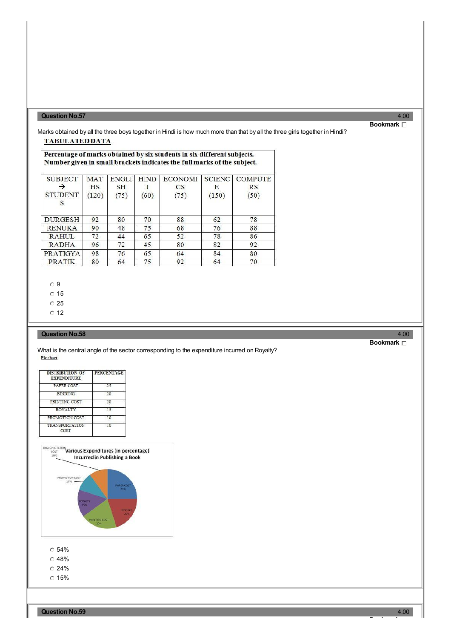# **Question No.57** 4.00

# **Bookmark**

Marks obtained by all the three boys together in Hindi is how much more than that by all the three girls together in Hindi? **TABULATEDDATA** 

# Percentage of marks obtained by six students in six different subjects. Number given in small brackets indicates the full marks of the subject.

| <b>SUBJECT</b>      | <b>MAT</b> | <b>ENGLI</b> | <b>HIND</b> | <b>ECONOMI</b> | <b>SCIENC</b> | <b>COMPUTE</b> |
|---------------------|------------|--------------|-------------|----------------|---------------|----------------|
|                     | HS         | <b>SH</b>    |             | $_{\rm CS}$    | Е             | RS             |
| <b>STUDENT</b><br>S | (120)      | (75)         | (60)        | (75)           | (150)         | (50)           |
| <b>DURGESH</b>      | 92         | 80           | 70          | 88             | 62            | 78             |
| <b>RENUKA</b>       | 90         | 48           | 75          | 68             | 76            | 88             |
| <b>RAHUL</b>        | 72         | 44           | 65          | 52             | 78            | 86             |
| <b>RADHA</b>        | 96         | 72           | 45          | 80             | 82            | 92             |
| PRATIGYA            | 98         | 76           | 65          | 64             | 84            | 80             |
| <b>PRATIK</b>       | 80         | 64           | 75          | 92             | 64            | 70             |

 $\overline{O}$  9

 $\degree$  15

 $\overline{C}$  25

 $\circ$  12

### **Question No.58** 4.00

What is the central angle of the sector corresponding to the expenditure incurred on Royalty?<br>Fischart

| <b>DISTRIBUTION OF</b><br><b>EXPENDITURE</b> | <b>PERCENTAGE</b> |
|----------------------------------------------|-------------------|
| PAPER COST                                   | 25                |
| <b>BINDING</b>                               | 20                |
| PRINTING COST                                | 20                |
| <b>ROYALTY</b>                               | 15                |
| PROMOTION COST                               | 10                |
| <b>TRANSPORTATION</b><br>COST                | 10                |



 $\degree$  54%

- $\degree$  48%
- $\degree$  24%
- $\degree$  15%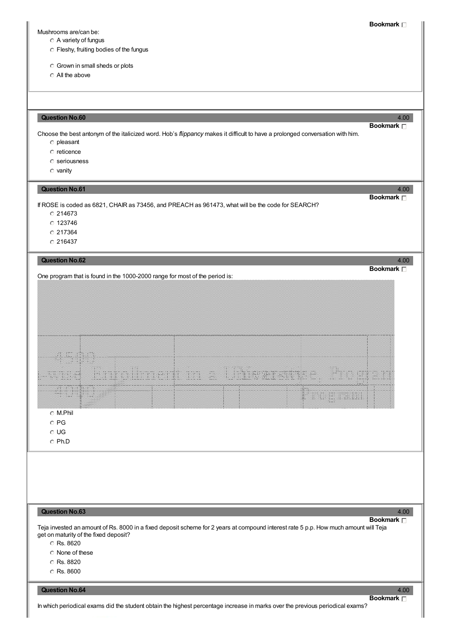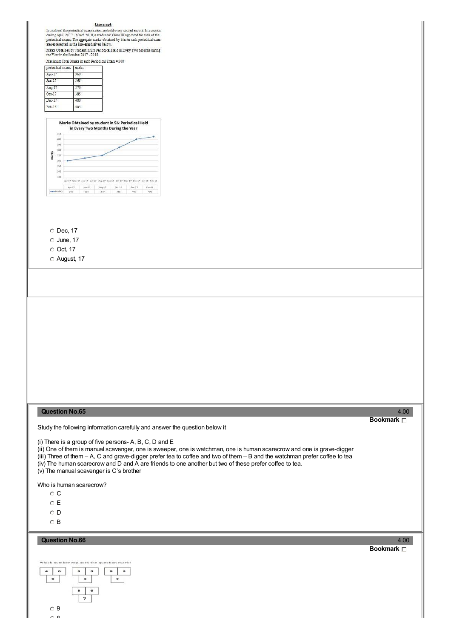#### Line graph

**EXECUTE AND ALL ASSEMBLE SET AND ALL ASSEMBLE AND ALL ASSEM** during April 2017 - March 2018, a student of Class IX appeared for each of the periodical exams. The aggregate makes obtained by him in each periodical exams ar

Maximum Total Marks in each Periodical Exam = 500

| periodical exams<br>marks |  |
|---------------------------|--|
| 360                       |  |
| 365                       |  |
| 370                       |  |
| 385                       |  |
| $400 -$                   |  |
| 405                       |  |
|                           |  |



- $O$  Dec, 17
- $\circ$  June, 17
- Oct, 17

August, 17

# **Question No.65** 4.00

Study the following information carefully and answer the question below it

(i) There is a group of five persons- A, B, C, D and E

(ii) One of them is manual scavenger, one is sweeper, one is watchman, one is human scarecrow and one is grave-digger

(iii) Three of them – A, C and grave-digger prefer tea to coffee and two of them – B and the watchman prefer coffee to tea

(iv) The human scarecrow and D and A are friends to one another but two of these prefer coffee to tea.

(v) The manual scavenger is C's brother

Who is human scarecrow?

- $\circ$  C
- E
- $\circ$  D
- B

# **Question No.66** 4.00



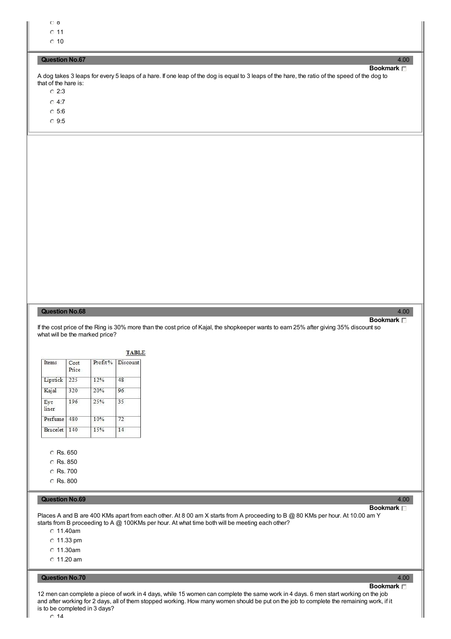$\overline{6}$ 

 $011$ 

 $\degree$  10

# **Question No.67** 4.00

**Bookmark** A dog takes 3 leaps for every 5 leaps of a hare. If one leap of the dog is equal to 3 leaps of the hare, the ratio of the speed of the dog to that of the hare is:

- $\degree$  2:3
- 4:7
- 5:6
- 9:5

# **Question No.68** 4.00

If the cost price of the Ring is 30% more than the cost price of Kajal, the shopkeeper wants to earn 25% after giving 35% discount so

| Items        | Cost<br>Price | Profit% | Discount |
|--------------|---------------|---------|----------|
| Lipstick     | 225           | 12%     | 48       |
| Kajal        | 320           | 20%     | 96       |
| Eye<br>liner | 196           | 25%     | 35       |
| Perfume      | 480           | 10%     | 72       |
| Bracelet     | 140           | 15%     | 14       |

Rs. 850

Rs. 700

C Rs. 800

# **Question No.69** 4.00

11.40am  $\degree$  11.33 pm 11.30am  $\degree$  11.20 am

**Bookmark**

what will be the marked price?

**Question No.70** 4.00

12 men can complete a piece of work in 4 days, while 15 women can complete the same work in 4 days. 6 men start working on the job and after working for 2 days, all of them stopped working. How many women should be put on the job to complete the remaining work, if it is to be completed in 3 days?

Places A and B are 400 KMs apart from each other. At 8 00 am X starts from A proceeding to B @ 80 KMs per hour. At 10.00 am Y

starts from B proceeding to A @ 100KMs per hour. At what time both will be meeting each other?

**Bookmark**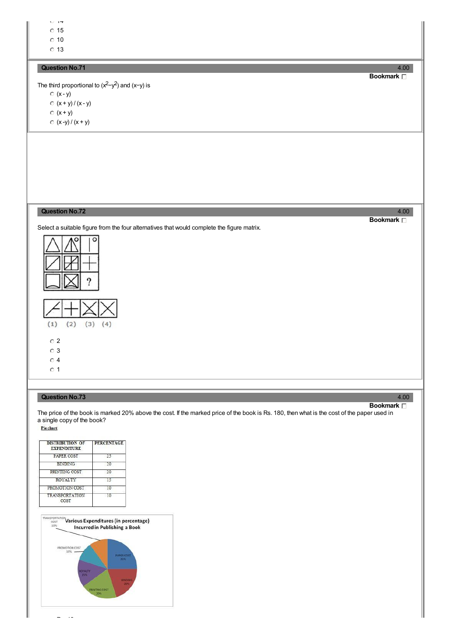$14 - 17$  $\overline{0}$  15

 $\degree$  10

 $\circ$  13

# **Question No.71** 4.00

The third proportional to  $(x^2-y^2)$  and  $(x-y)$  is  $\circ$  (x - y)  $(x + y) / (x - y)$  $(x + y)$ 

 $(x - y) / (x + y)$ 

# **Question No.72** 4.00

Select a suitable figure from the four alternatives that would complete the figure matrix.



# **Question No.73** 4.00

The price of the book is marked 20% above the cost. If the marked price of the book is Rs. 180, then what is the cost of the paper used in a single copy of the book?<br>Piechart

| <b>DISTRIBUTION OF</b><br><b>EXPENDITURE</b> | <b>PERCENTAGE</b> |
|----------------------------------------------|-------------------|
| PAPER COST                                   | 25                |
| <b>BINDING</b>                               | 20                |
| PRINTING COST                                | 20                |
| ROYALTY                                      | 15                |
| PROMOTION COST                               | 10                |
| <b>TRANSPORTATION</b><br>COST                | 10                |



**Bookmark**

### **Bookmark**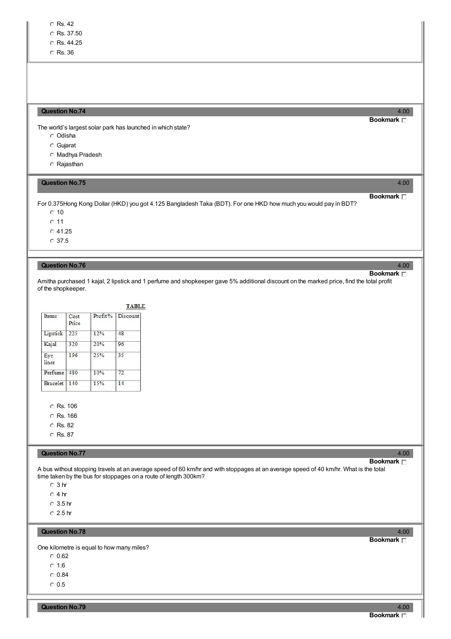- C Rs. 44.25
- Rs. 36

# **Question No.74** 4.00

The world's largest solar park has launched in which state?

- Odisha
- Gujarat
- Madhya Pradesh
- Rajasthan

# **Question No.75** 4.00

For 0.375Hong Kong Dollar (HKD) you got 4.125 Bangladesh Taka (BDT). For one HKD how much you would pay in BDT?

 $\degree$  10

 $0.11$ 

 $C$  41.25

37.5

# **Question No.76** 4.00

Amitha purchased 1 kajal, 2 lipstick and 1 perfume and shopkeeper gave 5% additional discount on the marked price, find the total profit of the shopkeeper.

| Items           | Cost<br>Price | Profit% | Discount |
|-----------------|---------------|---------|----------|
| Lipstick        | 225           | 12%     | 48       |
| Kajal           | 320           | 20%     | 96       |
| Eye<br>liner    | 196           | 25%     | 35       |
| Perfume         | 480           | 10%     | 72       |
| <b>Bracelet</b> | 140           | 15%     | 14       |

C Rs. 106

C Rs. 166

Rs. 82

C Rs. 87

#### **Question No.77** 4.00

# **Bookmark**

A bus without stopping travels at an average speed of 60 km/hr and with stoppages at an average speed of 40 km/hr. What is the total time taken by the bus for stoppages on a route of length 300km?

 $\circ$  3 hr

 $\circ$  4 hr

3.5 hr

2.5 hr

# **Question No.78** 4.00

One kilometre is equal to how many miles?

- $\degree$  0.62
- $\circ$  1.6
- $\degree$  0.84
- $\circ$  0.5

**Bookmark**

# **Bookmark**

**Bookmark**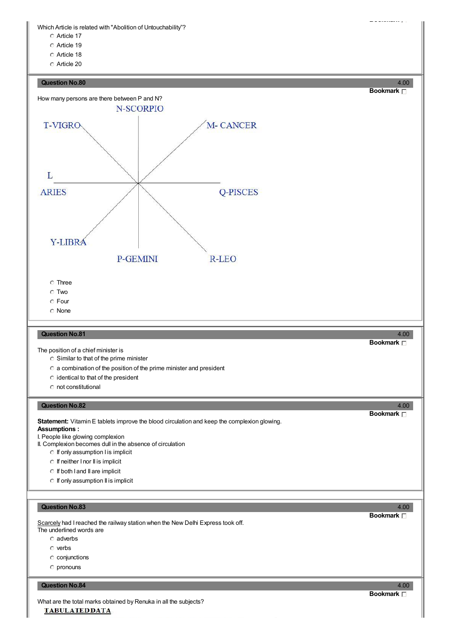Which Article is related with "Abolition of Untouchability"?

- Article 17
- Article 19
- Article 18
- Article 20



- $\circ$  pronouns
- 

#### **Question No.84** 4.00

What are the total marks obtained by Renuka in all the subjects?**TABULATEDDATA** 

# **Bookmark**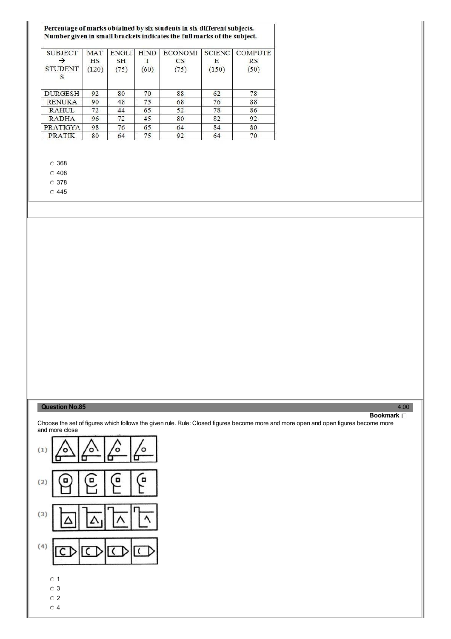| Percentage of marks obtained by six students in six different subjects.<br>Number given in small brackets indicates the full marks of the subject. |                                  |                                   |                     |                              |                             |                                     |
|----------------------------------------------------------------------------------------------------------------------------------------------------|----------------------------------|-----------------------------------|---------------------|------------------------------|-----------------------------|-------------------------------------|
| <b>SUBJECT</b><br><b>STUDENT</b><br>S                                                                                                              | <b>MAT</b><br><b>HS</b><br>(120) | <b>ENGLI</b><br><b>SH</b><br>(75) | <b>HIND</b><br>(60) | <b>ECONOMI</b><br>CS<br>(75) | <b>SCIENC</b><br>Е<br>(150) | <b>COMPUTE</b><br><b>RS</b><br>(50) |
| <b>DURGESH</b>                                                                                                                                     | 92                               | 80                                | 70                  | 88                           | 62                          | 78                                  |
| <b>RENUKA</b>                                                                                                                                      | 90                               | 48                                | 75                  | 68                           | 76                          | 88                                  |
| <b>RAHUL</b>                                                                                                                                       | 72                               | 44                                | 65                  | 52                           | 78                          | 86                                  |
| <b>RADHA</b>                                                                                                                                       | 96                               | 72                                | 45                  | 80                           | 82                          | 92                                  |
| PRATIGYA                                                                                                                                           | 98                               | 76                                | 65                  | 64                           | 84                          | 80                                  |
| <b>PRATIK</b>                                                                                                                                      | 80                               | 64                                | 75                  | 92                           | 64                          | 70                                  |

368

Ē.

 $\degree$  408

378

445

# **Question No.85** 4.00

**Bookmark**

Choose the set of figures which follows the given rule. Rule: Closed figures become more and more open and open figures become more and more close

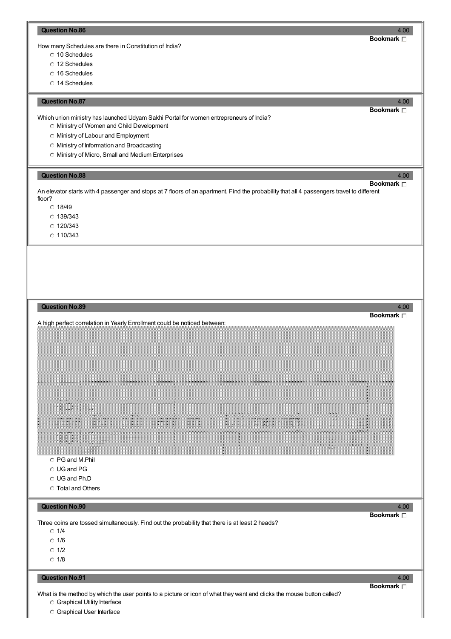#### **Question No.86** 4.00

How many Schedules are there in Constitution of India?

- 10 Schedules
- 12 Schedules
- 16 Schedules
- 14 Schedules

#### **Question No.87** 4.00

Which union ministry has launched Udyam Sakhi Portal for women entrepreneurs of India?

- Ministry of Women and Child Development
- Ministry of Labour and Employment
- Ministry of Information and Broadcasting
- Ministry of Micro, Small and Medium Enterprises

### **Question No.88** 4.00

An elevator starts with 4 passenger and stops at 7 floors of an apartment. Find the probability that all 4 passengers travel to different floor?

- $C$  18/49
- 139/343
- 120/343
- $C$  110/343



Graphical Utility Interface

Graphical User Interface

**Bookmark**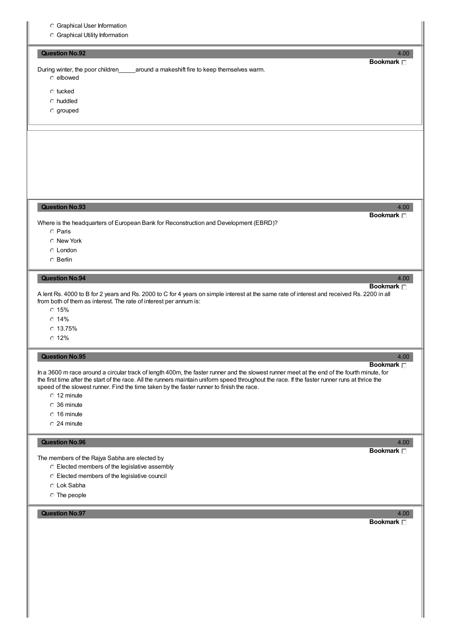- Graphical User Information
- Graphical Utility Information

# **Question No.92** 4.00

During winter, the poor children\_\_\_\_\_around a makeshift fire to keep themselves warm.

- elbowed
- tucked
- huddled
- grouped

# **Question No.93** 4.00

Where is the headquarters of European Bank for Reconstruction and Development (EBRD)?

- Paris
- New York
- London
- Berlin

### **Question No.94** 4.00

A lent Rs. 4000 to B for 2 years and Rs. 2000 to C for 4 years on simple interest at the same rate of interest and received Rs. 2200 in all from both of them as interest. The rate of interest per annum is:

- $C$  15%
- $\degree$  14%
- $C$  13.75%
- $\degree$  12%

# **Question No.95** 4.00

**Bookmark**

In a 3600 m race around a circular track of length 400m, the faster runner and the slowest runner meet at the end of the fourth minute, for the first time after the start of the race. All the runners maintain uniform speed throughout the race. If the faster runner runs at thrice the speed of the slowest runner. Find the time taken by the faster runner to finish the race.

- $C$  12 minute
- 36 minute
- $0.16$  minute
- 24 minute

#### **Question No.96** 4.00

The members of the Rajya Sabha are elected by

- Elected members of the legislative assembly
- Elected members of the legislative council
- Lok Sabha
- The people

# **Question No.97** 4.00

**Bookmark**

**Bookmark**

# **Bookmark**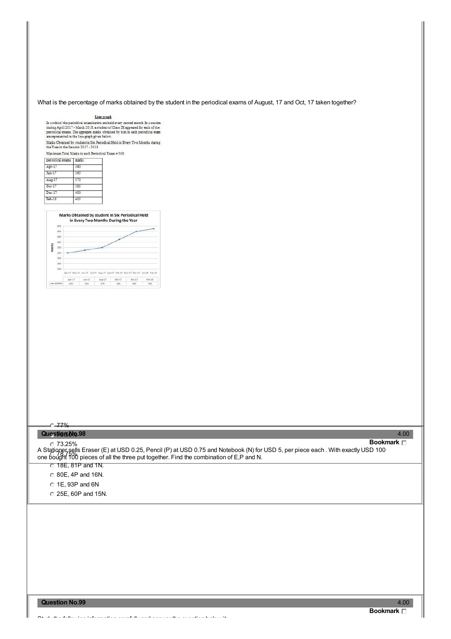What is the percentage of marks obtained by the student in the periodical exams of August, 17 and Oct, 17 taken together?

#### Line graph

In a school the periodical examination are held every second month In a session during April 2017 - March 2018, a student<br>of Class IX appeared for each of the periodical exams The aggregate matks obtained by him in each p

Marks Obtained by student in Six Periodical Held in Every Two Months during the Year in the Session 2017 - 2018.  $n = 500$ 

| periodical exams | marks   |
|------------------|---------|
| Apr-17           | 360     |
| $Jun-17$         | 365     |
| Aug-17           | 370     |
| $Oct-17$         | 385     |
| $Dec-17$         | $400 -$ |
| $Feb-18$         | 405     |



# $C - 77%$

# 75.50% **Question No.98** 4.00

73.25% A Stationer sells Eraser (E) at USD 0.25, Pencil (P) at USD 0.75 and Notebook (N) for USD 5, per piece each . With exactly USD 100<br>one hought the ninces of all the three put together. Find the combination of E.B and N. **Bookmark** one bought 100 pieces of all the three put together. Find the combination of E,P and N.

 $\overline{C}$  18E, 81P and 1N.

80E, 4P and 16N.

1E, 93P and 6N

25E, 60P and 15N.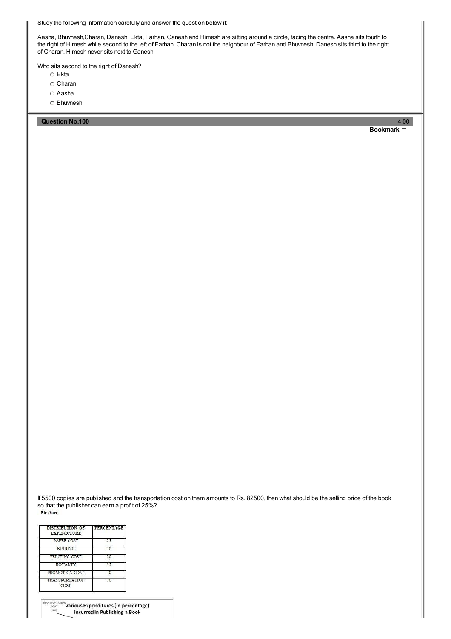Study the following information carefully and answer the question below it:

Aasha, Bhuvnesh,Charan, Danesh, Ekta, Farhan, Ganesh and Himesh are sitting around a circle, facing the centre. Aasha sits fourth to the right of Himesh while second to the left of Farhan. Charan is not the neighbour of Farhan and Bhuvnesh. Danesh sits third to the right of Charan. Himesh never sits next to Ganesh.

Who sits second to the right of Danesh?

- Ekta
- C Charan
- Aasha
- Bhuvnesh

**Question No.100** 4.00

**Bookmark**

If 5500 copies are published and the transportation cost on them amounts to Rs. 82500, then what should be the selling price of the book so that the publisher can earn a profit of 25%?Pie chart

| <b>DISTRIBUTION OF</b><br><b>EXPENDITURE</b> | <b>PERCENTAGE</b> |  |  |
|----------------------------------------------|-------------------|--|--|
| PAPER COST                                   | 25                |  |  |
| <b>BINDING</b>                               | ንስ                |  |  |
| PRINTING COST                                | 20                |  |  |
| ROYALTY                                      | 15                |  |  |
| PROMOTION COST                               | 10                |  |  |
| <b>TRANSPORTATION</b><br>COST                | 10                |  |  |

 $^{\circ\circ}$ Various Expenditures (in percentage) **Incurred in Publishing a Book**